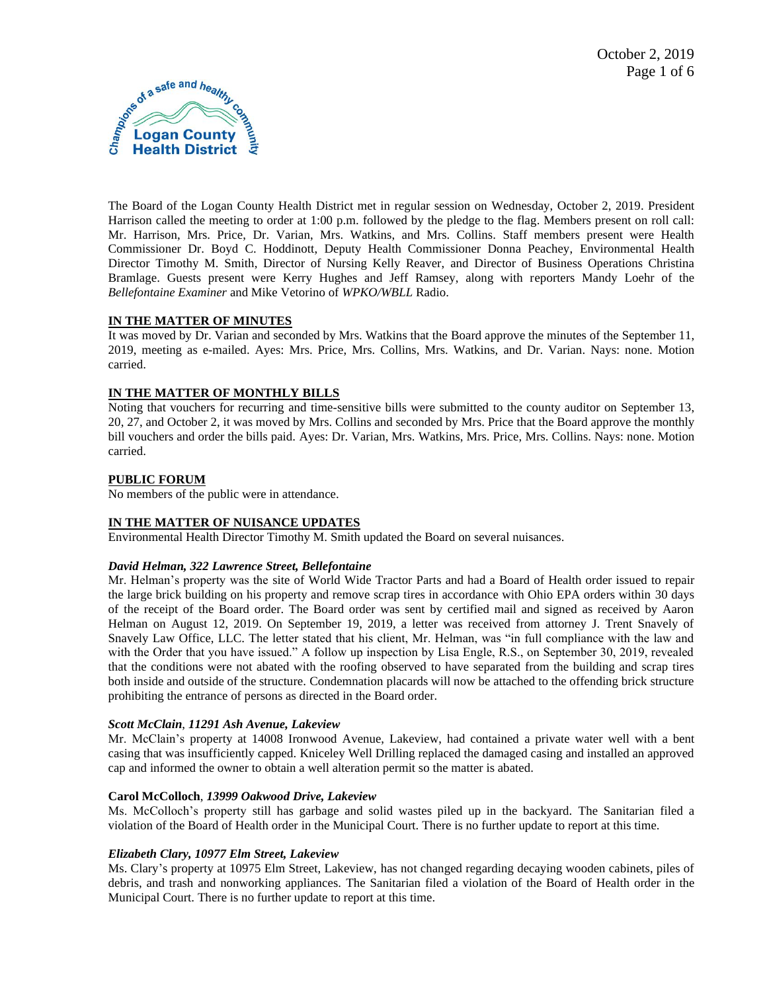

The Board of the Logan County Health District met in regular session on Wednesday, October 2, 2019. President Harrison called the meeting to order at 1:00 p.m. followed by the pledge to the flag. Members present on roll call: Mr. Harrison, Mrs. Price, Dr. Varian, Mrs. Watkins, and Mrs. Collins. Staff members present were Health Commissioner Dr. Boyd C. Hoddinott, Deputy Health Commissioner Donna Peachey, Environmental Health Director Timothy M. Smith, Director of Nursing Kelly Reaver, and Director of Business Operations Christina Bramlage. Guests present were Kerry Hughes and Jeff Ramsey, along with reporters Mandy Loehr of the *Bellefontaine Examiner* and Mike Vetorino of *WPKO/WBLL* Radio.

## **IN THE MATTER OF MINUTES**

It was moved by Dr. Varian and seconded by Mrs. Watkins that the Board approve the minutes of the September 11, 2019, meeting as e-mailed. Ayes: Mrs. Price, Mrs. Collins, Mrs. Watkins, and Dr. Varian. Nays: none. Motion carried.

# **IN THE MATTER OF MONTHLY BILLS**

Noting that vouchers for recurring and time-sensitive bills were submitted to the county auditor on September 13, 20, 27, and October 2, it was moved by Mrs. Collins and seconded by Mrs. Price that the Board approve the monthly bill vouchers and order the bills paid. Ayes: Dr. Varian, Mrs. Watkins, Mrs. Price, Mrs. Collins. Nays: none. Motion carried.

## **PUBLIC FORUM**

No members of the public were in attendance.

## **IN THE MATTER OF NUISANCE UPDATES**

Environmental Health Director Timothy M. Smith updated the Board on several nuisances.

## *David Helman, 322 Lawrence Street, Bellefontaine*

Mr. Helman's property was the site of World Wide Tractor Parts and had a Board of Health order issued to repair the large brick building on his property and remove scrap tires in accordance with Ohio EPA orders within 30 days of the receipt of the Board order. The Board order was sent by certified mail and signed as received by Aaron Helman on August 12, 2019. On September 19, 2019, a letter was received from attorney J. Trent Snavely of Snavely Law Office, LLC. The letter stated that his client, Mr. Helman, was "in full compliance with the law and with the Order that you have issued." A follow up inspection by Lisa Engle, R.S., on September 30, 2019, revealed that the conditions were not abated with the roofing observed to have separated from the building and scrap tires both inside and outside of the structure. Condemnation placards will now be attached to the offending brick structure prohibiting the entrance of persons as directed in the Board order.

## *Scott McClain*, *11291 Ash Avenue, Lakeview*

Mr. McClain's property at 14008 Ironwood Avenue, Lakeview, had contained a private water well with a bent casing that was insufficiently capped. Kniceley Well Drilling replaced the damaged casing and installed an approved cap and informed the owner to obtain a well alteration permit so the matter is abated.

## **Carol McColloch**, *13999 Oakwood Drive, Lakeview*

Ms. McColloch's property still has garbage and solid wastes piled up in the backyard. The Sanitarian filed a violation of the Board of Health order in the Municipal Court. There is no further update to report at this time.

## *Elizabeth Clary, 10977 Elm Street, Lakeview*

Ms. Clary's property at 10975 Elm Street, Lakeview, has not changed regarding decaying wooden cabinets, piles of debris, and trash and nonworking appliances. The Sanitarian filed a violation of the Board of Health order in the Municipal Court. There is no further update to report at this time.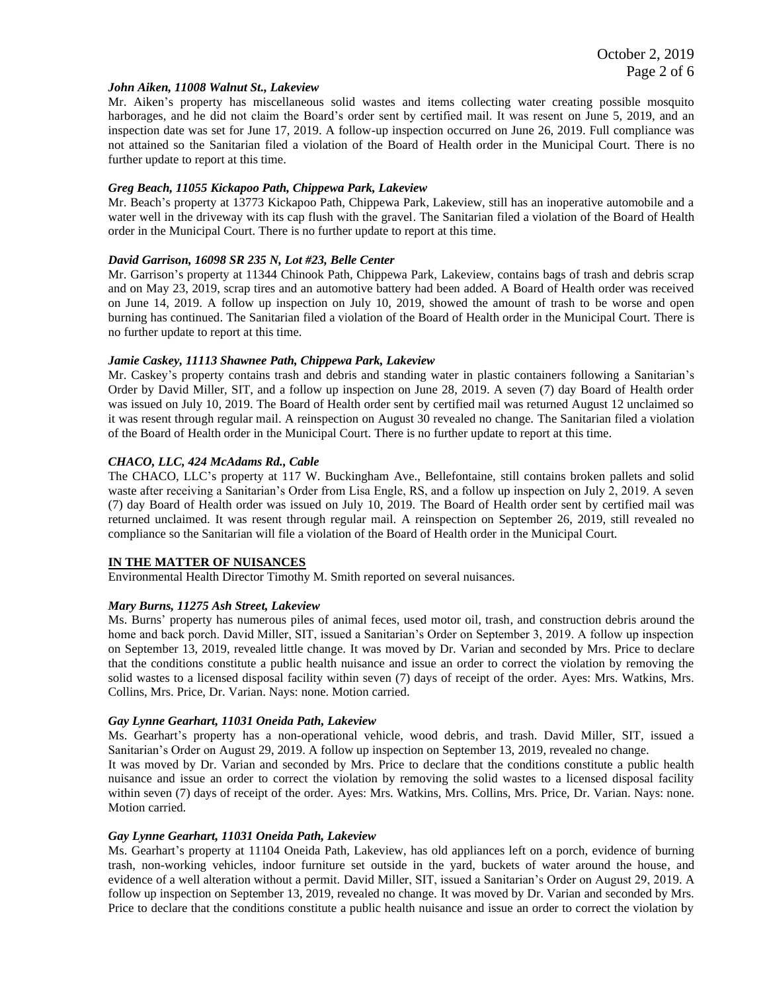#### *John Aiken, 11008 Walnut St., Lakeview*

Mr. Aiken's property has miscellaneous solid wastes and items collecting water creating possible mosquito harborages, and he did not claim the Board's order sent by certified mail. It was resent on June 5, 2019, and an inspection date was set for June 17, 2019. A follow-up inspection occurred on June 26, 2019. Full compliance was not attained so the Sanitarian filed a violation of the Board of Health order in the Municipal Court. There is no further update to report at this time.

#### *Greg Beach, 11055 Kickapoo Path, Chippewa Park, Lakeview*

Mr. Beach's property at 13773 Kickapoo Path, Chippewa Park, Lakeview, still has an inoperative automobile and a water well in the driveway with its cap flush with the gravel. The Sanitarian filed a violation of the Board of Health order in the Municipal Court. There is no further update to report at this time.

#### *David Garrison, 16098 SR 235 N, Lot #23, Belle Center*

Mr. Garrison's property at 11344 Chinook Path, Chippewa Park, Lakeview, contains bags of trash and debris scrap and on May 23, 2019, scrap tires and an automotive battery had been added. A Board of Health order was received on June 14, 2019. A follow up inspection on July 10, 2019, showed the amount of trash to be worse and open burning has continued. The Sanitarian filed a violation of the Board of Health order in the Municipal Court. There is no further update to report at this time.

#### *Jamie Caskey, 11113 Shawnee Path, Chippewa Park, Lakeview*

Mr. Caskey's property contains trash and debris and standing water in plastic containers following a Sanitarian's Order by David Miller, SIT, and a follow up inspection on June 28, 2019. A seven (7) day Board of Health order was issued on July 10, 2019. The Board of Health order sent by certified mail was returned August 12 unclaimed so it was resent through regular mail. A reinspection on August 30 revealed no change. The Sanitarian filed a violation of the Board of Health order in the Municipal Court. There is no further update to report at this time.

#### *CHACO, LLC, 424 McAdams Rd., Cable*

The CHACO, LLC's property at 117 W. Buckingham Ave., Bellefontaine, still contains broken pallets and solid waste after receiving a Sanitarian's Order from Lisa Engle, RS, and a follow up inspection on July 2, 2019. A seven (7) day Board of Health order was issued on July 10, 2019. The Board of Health order sent by certified mail was returned unclaimed. It was resent through regular mail. A reinspection on September 26, 2019, still revealed no compliance so the Sanitarian will file a violation of the Board of Health order in the Municipal Court.

#### **IN THE MATTER OF NUISANCES**

Environmental Health Director Timothy M. Smith reported on several nuisances.

#### *Mary Burns, 11275 Ash Street, Lakeview*

Ms. Burns' property has numerous piles of animal feces, used motor oil, trash, and construction debris around the home and back porch. David Miller, SIT, issued a Sanitarian's Order on September 3, 2019. A follow up inspection on September 13, 2019, revealed little change. It was moved by Dr. Varian and seconded by Mrs. Price to declare that the conditions constitute a public health nuisance and issue an order to correct the violation by removing the solid wastes to a licensed disposal facility within seven (7) days of receipt of the order. Ayes: Mrs. Watkins, Mrs. Collins, Mrs. Price, Dr. Varian. Nays: none. Motion carried.

#### *Gay Lynne Gearhart, 11031 Oneida Path, Lakeview*

Ms. Gearhart's property has a non-operational vehicle, wood debris, and trash. David Miller, SIT, issued a Sanitarian's Order on August 29, 2019. A follow up inspection on September 13, 2019, revealed no change. It was moved by Dr. Varian and seconded by Mrs. Price to declare that the conditions constitute a public health nuisance and issue an order to correct the violation by removing the solid wastes to a licensed disposal facility within seven (7) days of receipt of the order. Ayes: Mrs. Watkins, Mrs. Collins, Mrs. Price, Dr. Varian. Nays: none. Motion carried.

#### *Gay Lynne Gearhart, 11031 Oneida Path, Lakeview*

Ms. Gearhart's property at 11104 Oneida Path, Lakeview, has old appliances left on a porch, evidence of burning trash, non-working vehicles, indoor furniture set outside in the yard, buckets of water around the house, and evidence of a well alteration without a permit. David Miller, SIT, issued a Sanitarian's Order on August 29, 2019. A follow up inspection on September 13, 2019, revealed no change. It was moved by Dr. Varian and seconded by Mrs. Price to declare that the conditions constitute a public health nuisance and issue an order to correct the violation by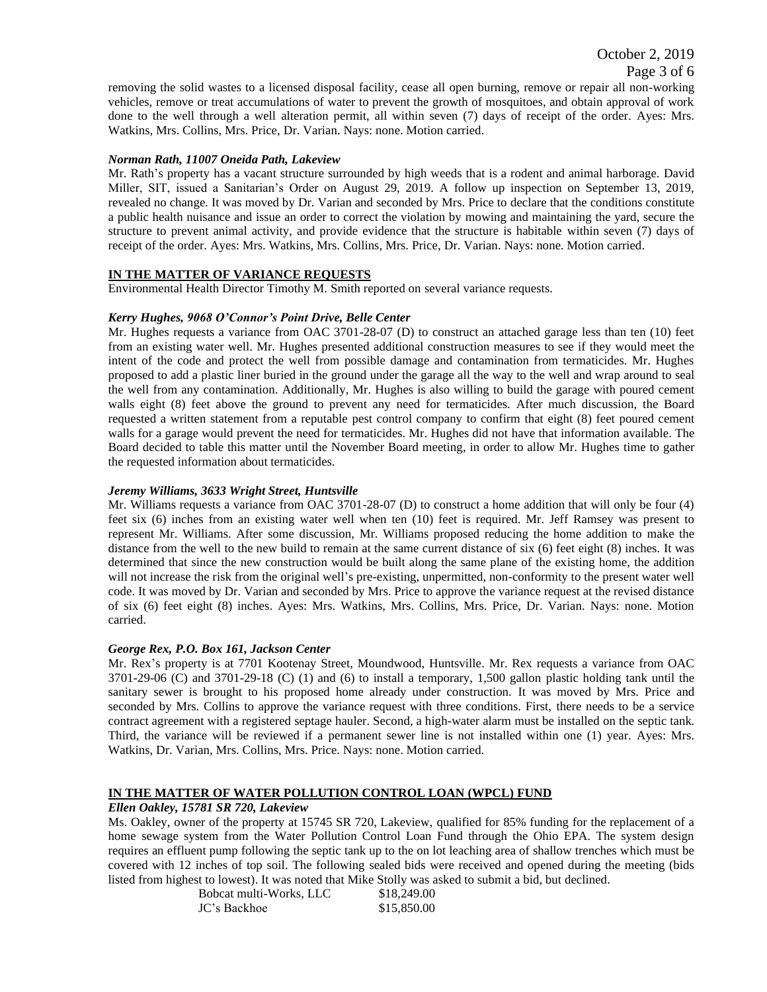removing the solid wastes to a licensed disposal facility, cease all open burning, remove or repair all non-working vehicles, remove or treat accumulations of water to prevent the growth of mosquitoes, and obtain approval of work done to the well through a well alteration permit, all within seven (7) days of receipt of the order. Ayes: Mrs. Watkins, Mrs. Collins, Mrs. Price, Dr. Varian. Nays: none. Motion carried.

#### *Norman Rath, 11007 Oneida Path, Lakeview*

Mr. Rath's property has a vacant structure surrounded by high weeds that is a rodent and animal harborage. David Miller, SIT, issued a Sanitarian's Order on August 29, 2019. A follow up inspection on September 13, 2019, revealed no change. It was moved by Dr. Varian and seconded by Mrs. Price to declare that the conditions constitute a public health nuisance and issue an order to correct the violation by mowing and maintaining the yard, secure the structure to prevent animal activity, and provide evidence that the structure is habitable within seven (7) days of receipt of the order. Ayes: Mrs. Watkins, Mrs. Collins, Mrs. Price, Dr. Varian. Nays: none. Motion carried.

## **IN THE MATTER OF VARIANCE REQUESTS**

Environmental Health Director Timothy M. Smith reported on several variance requests.

#### *Kerry Hughes, 9068 O'Connor's Point Drive, Belle Center*

Mr. Hughes requests a variance from OAC 3701-28-07 (D) to construct an attached garage less than ten (10) feet from an existing water well. Mr. Hughes presented additional construction measures to see if they would meet the intent of the code and protect the well from possible damage and contamination from termaticides. Mr. Hughes proposed to add a plastic liner buried in the ground under the garage all the way to the well and wrap around to seal the well from any contamination. Additionally, Mr. Hughes is also willing to build the garage with poured cement walls eight (8) feet above the ground to prevent any need for termaticides. After much discussion, the Board requested a written statement from a reputable pest control company to confirm that eight (8) feet poured cement walls for a garage would prevent the need for termaticides. Mr. Hughes did not have that information available. The Board decided to table this matter until the November Board meeting, in order to allow Mr. Hughes time to gather the requested information about termaticides.

#### *Jeremy Williams, 3633 Wright Street, Huntsville*

Mr. Williams requests a variance from OAC 3701-28-07 (D) to construct a home addition that will only be four (4) feet six (6) inches from an existing water well when ten (10) feet is required. Mr. Jeff Ramsey was present to represent Mr. Williams. After some discussion, Mr. Williams proposed reducing the home addition to make the distance from the well to the new build to remain at the same current distance of six (6) feet eight (8) inches. It was determined that since the new construction would be built along the same plane of the existing home, the addition will not increase the risk from the original well's pre-existing, unpermitted, non-conformity to the present water well code. It was moved by Dr. Varian and seconded by Mrs. Price to approve the variance request at the revised distance of six (6) feet eight (8) inches. Ayes: Mrs. Watkins, Mrs. Collins, Mrs. Price, Dr. Varian. Nays: none. Motion carried.

#### *George Rex, P.O. Box 161, Jackson Center*

Mr. Rex's property is at 7701 Kootenay Street, Moundwood, Huntsville. Mr. Rex requests a variance from OAC 3701-29-06 (C) and 3701-29-18 (C) (1) and (6) to install a temporary, 1,500 gallon plastic holding tank until the sanitary sewer is brought to his proposed home already under construction. It was moved by Mrs. Price and seconded by Mrs. Collins to approve the variance request with three conditions. First, there needs to be a service contract agreement with a registered septage hauler. Second, a high-water alarm must be installed on the septic tank. Third, the variance will be reviewed if a permanent sewer line is not installed within one (1) year. Ayes: Mrs. Watkins, Dr. Varian, Mrs. Collins, Mrs. Price. Nays: none. Motion carried.

### **IN THE MATTER OF WATER POLLUTION CONTROL LOAN (WPCL) FUND**

#### *Ellen Oakley, 15781 SR 720, Lakeview*

Ms. Oakley, owner of the property at 15745 SR 720, Lakeview, qualified for 85% funding for the replacement of a home sewage system from the Water Pollution Control Loan Fund through the Ohio EPA. The system design requires an effluent pump following the septic tank up to the on lot leaching area of shallow trenches which must be covered with 12 inches of top soil. The following sealed bids were received and opened during the meeting (bids listed from highest to lowest). It was noted that Mike Stolly was asked to submit a bid, but declined.

| Bobcat multi-Works, LLC | \$18,249.00 |
|-------------------------|-------------|
| JC's Backhoe            | \$15,850.00 |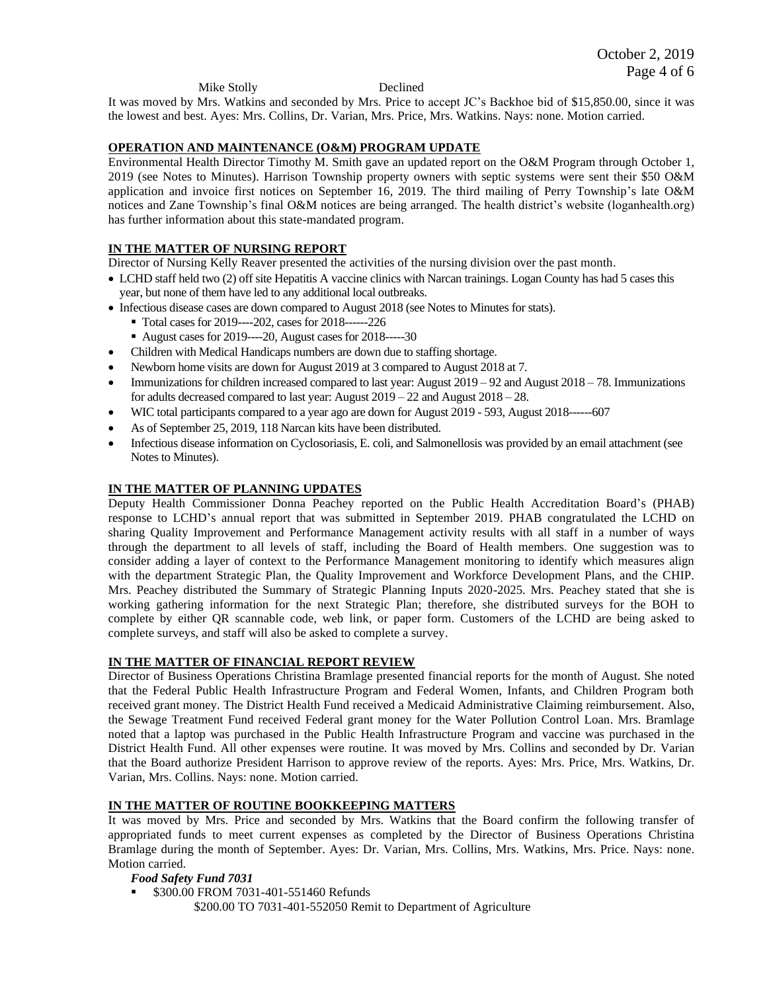Mike Stolly Declined

It was moved by Mrs. Watkins and seconded by Mrs. Price to accept JC's Backhoe bid of \$15,850.00, since it was the lowest and best. Ayes: Mrs. Collins, Dr. Varian, Mrs. Price, Mrs. Watkins. Nays: none. Motion carried.

### **OPERATION AND MAINTENANCE (O&M) PROGRAM UPDATE**

Environmental Health Director Timothy M. Smith gave an updated report on the O&M Program through October 1, 2019 (see Notes to Minutes). Harrison Township property owners with septic systems were sent their \$50 O&M application and invoice first notices on September 16, 2019. The third mailing of Perry Township's late O&M notices and Zane Township's final O&M notices are being arranged. The health district's website (loganhealth.org) has further information about this state-mandated program.

## **IN THE MATTER OF NURSING REPORT**

Director of Nursing Kelly Reaver presented the activities of the nursing division over the past month.

- LCHD staff held two (2) off site Hepatitis A vaccine clinics with Narcan trainings. Logan County has had 5 cases this year, but none of them have led to any additional local outbreaks.
- Infectious disease cases are down compared to August 2018 (see Notes to Minutes for stats).
	- Total cases for 2019----202, cases for 2018------226
	- August cases for 2019----20, August cases for 2018-----30
- Children with Medical Handicaps numbers are down due to staffing shortage.
- Newborn home visits are down for August 2019 at 3 compared to August 2018 at 7.
- Immunizations for children increased compared to last year: August 2019 92 and August 2018 78. Immunizations for adults decreased compared to last year: August 2019 – 22 and August 2018 – 28.
- WIC total participants compared to a year ago are down for August 2019 593, August 2018------607
- As of September 25, 2019, 118 Narcan kits have been distributed.
- Infectious disease information on Cyclosoriasis, E. coli, and Salmonellosis was provided by an email attachment (see Notes to Minutes).

### **IN THE MATTER OF PLANNING UPDATES**

Deputy Health Commissioner Donna Peachey reported on the Public Health Accreditation Board's (PHAB) response to LCHD's annual report that was submitted in September 2019. PHAB congratulated the LCHD on sharing Quality Improvement and Performance Management activity results with all staff in a number of ways through the department to all levels of staff, including the Board of Health members. One suggestion was to consider adding a layer of context to the Performance Management monitoring to identify which measures align with the department Strategic Plan, the Quality Improvement and Workforce Development Plans, and the CHIP. Mrs. Peachey distributed the Summary of Strategic Planning Inputs 2020-2025. Mrs. Peachey stated that she is working gathering information for the next Strategic Plan; therefore, she distributed surveys for the BOH to complete by either QR scannable code, web link, or paper form. Customers of the LCHD are being asked to complete surveys, and staff will also be asked to complete a survey.

## **IN THE MATTER OF FINANCIAL REPORT REVIEW**

Director of Business Operations Christina Bramlage presented financial reports for the month of August. She noted that the Federal Public Health Infrastructure Program and Federal Women, Infants, and Children Program both received grant money. The District Health Fund received a Medicaid Administrative Claiming reimbursement. Also, the Sewage Treatment Fund received Federal grant money for the Water Pollution Control Loan. Mrs. Bramlage noted that a laptop was purchased in the Public Health Infrastructure Program and vaccine was purchased in the District Health Fund. All other expenses were routine. It was moved by Mrs. Collins and seconded by Dr. Varian that the Board authorize President Harrison to approve review of the reports. Ayes: Mrs. Price, Mrs. Watkins, Dr. Varian, Mrs. Collins. Nays: none. Motion carried.

## **IN THE MATTER OF ROUTINE BOOKKEEPING MATTERS**

It was moved by Mrs. Price and seconded by Mrs. Watkins that the Board confirm the following transfer of appropriated funds to meet current expenses as completed by the Director of Business Operations Christina Bramlage during the month of September. Ayes: Dr. Varian, Mrs. Collins, Mrs. Watkins, Mrs. Price. Nays: none. Motion carried.

### *Food Safety Fund 7031*

\$300.00 FROM 7031-401-551460 Refunds

\$200.00 TO 7031-401-552050 Remit to Department of Agriculture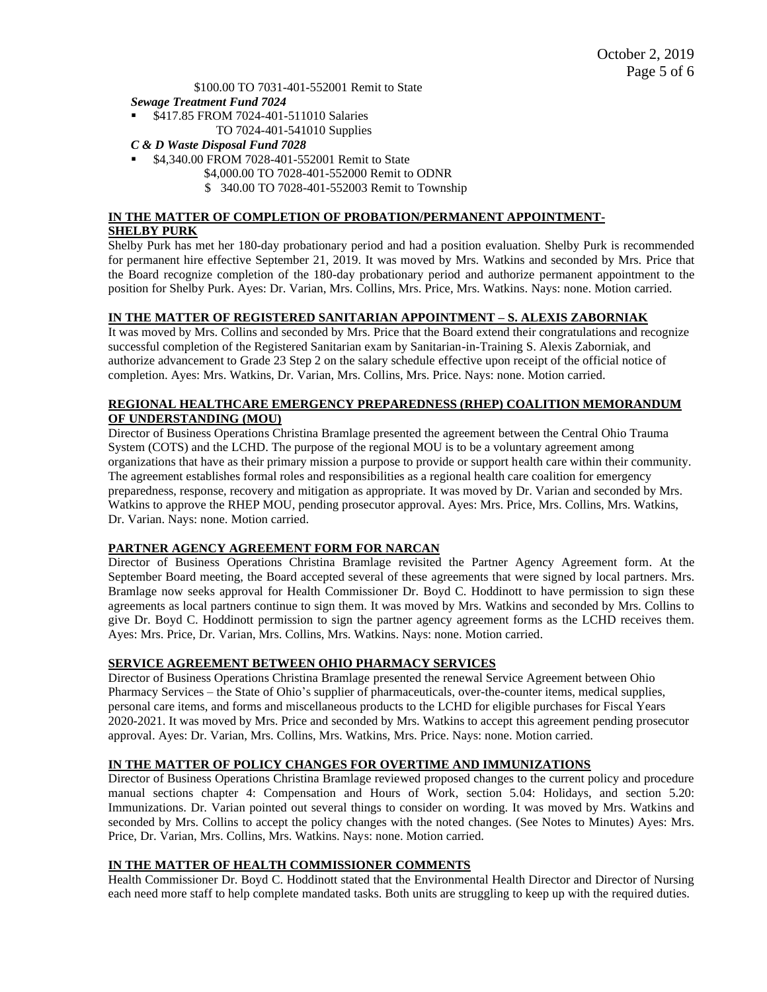\$100.00 TO 7031-401-552001 Remit to State

- *Sewage Treatment Fund 7024*
- \$417.85 FROM 7024-401-511010 Salaries TO 7024-401-541010 Supplies
- *C & D Waste Disposal Fund 7028*
- \$4,340.00 FROM 7028-401-552001 Remit to State
	- \$4,000.00 TO 7028-401-552000 Remit to ODNR
		- \$ 340.00 TO 7028-401-552003 Remit to Township

# **IN THE MATTER OF COMPLETION OF PROBATION/PERMANENT APPOINTMENT-SHELBY PURK**

Shelby Purk has met her 180-day probationary period and had a position evaluation. Shelby Purk is recommended for permanent hire effective September 21, 2019. It was moved by Mrs. Watkins and seconded by Mrs. Price that the Board recognize completion of the 180-day probationary period and authorize permanent appointment to the position for Shelby Purk. Ayes: Dr. Varian, Mrs. Collins, Mrs. Price, Mrs. Watkins. Nays: none. Motion carried.

### **IN THE MATTER OF REGISTERED SANITARIAN APPOINTMENT – S. ALEXIS ZABORNIAK**

It was moved by Mrs. Collins and seconded by Mrs. Price that the Board extend their congratulations and recognize successful completion of the Registered Sanitarian exam by Sanitarian-in-Training S. Alexis Zaborniak, and authorize advancement to Grade 23 Step 2 on the salary schedule effective upon receipt of the official notice of completion. Ayes: Mrs. Watkins, Dr. Varian, Mrs. Collins, Mrs. Price. Nays: none. Motion carried.

### **REGIONAL HEALTHCARE EMERGENCY PREPAREDNESS (RHEP) COALITION MEMORANDUM OF UNDERSTANDING (MOU)**

Director of Business Operations Christina Bramlage presented the agreement between the Central Ohio Trauma System (COTS) and the LCHD. The purpose of the regional MOU is to be a voluntary agreement among organizations that have as their primary mission a purpose to provide or support health care within their community. The agreement establishes formal roles and responsibilities as a regional health care coalition for emergency preparedness, response, recovery and mitigation as appropriate. It was moved by Dr. Varian and seconded by Mrs. Watkins to approve the RHEP MOU, pending prosecutor approval. Ayes: Mrs. Price, Mrs. Collins, Mrs. Watkins, Dr. Varian. Nays: none. Motion carried.

#### **PARTNER AGENCY AGREEMENT FORM FOR NARCAN**

Director of Business Operations Christina Bramlage revisited the Partner Agency Agreement form. At the September Board meeting, the Board accepted several of these agreements that were signed by local partners. Mrs. Bramlage now seeks approval for Health Commissioner Dr. Boyd C. Hoddinott to have permission to sign these agreements as local partners continue to sign them. It was moved by Mrs. Watkins and seconded by Mrs. Collins to give Dr. Boyd C. Hoddinott permission to sign the partner agency agreement forms as the LCHD receives them. Ayes: Mrs. Price, Dr. Varian, Mrs. Collins, Mrs. Watkins. Nays: none. Motion carried.

## **SERVICE AGREEMENT BETWEEN OHIO PHARMACY SERVICES**

Director of Business Operations Christina Bramlage presented the renewal Service Agreement between Ohio Pharmacy Services – the State of Ohio's supplier of pharmaceuticals, over-the-counter items, medical supplies, personal care items, and forms and miscellaneous products to the LCHD for eligible purchases for Fiscal Years 2020-2021. It was moved by Mrs. Price and seconded by Mrs. Watkins to accept this agreement pending prosecutor approval. Ayes: Dr. Varian, Mrs. Collins, Mrs. Watkins, Mrs. Price. Nays: none. Motion carried.

### **IN THE MATTER OF POLICY CHANGES FOR OVERTIME AND IMMUNIZATIONS**

Director of Business Operations Christina Bramlage reviewed proposed changes to the current policy and procedure manual sections chapter 4: Compensation and Hours of Work, section 5.04: Holidays, and section 5.20: Immunizations. Dr. Varian pointed out several things to consider on wording. It was moved by Mrs. Watkins and seconded by Mrs. Collins to accept the policy changes with the noted changes. (See Notes to Minutes) Ayes: Mrs. Price, Dr. Varian, Mrs. Collins, Mrs. Watkins. Nays: none. Motion carried.

### **IN THE MATTER OF HEALTH COMMISSIONER COMMENTS**

Health Commissioner Dr. Boyd C. Hoddinott stated that the Environmental Health Director and Director of Nursing each need more staff to help complete mandated tasks. Both units are struggling to keep up with the required duties.